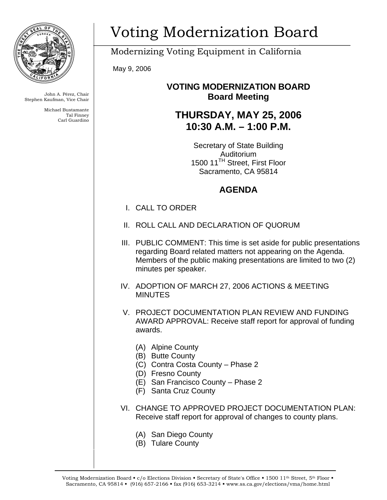

John A. Pérez, Chair Stephen Kaufman, Vice Chair

> Michael Bustamante Tal Finney Carl Guardino

# Voting Modernization Board

Modernizing Voting Equipment in California

May 9, 2006

### **VOTING MODERNIZATION BOARD Board Meeting**

# **THURSDAY, MAY 25, 2006 10:30 A.M. – 1:00 P.M.**

Secretary of State Building Auditorium 1500 11<sup>TH</sup> Street, First Floor Sacramento, CA 95814

## **AGENDA**

- I. CALL TO ORDER
- II. ROLL CALL AND DECLARATION OF QUORUM
- III. PUBLIC COMMENT: This time is set aside for public presentations regarding Board related matters not appearing on the Agenda. Members of the public making presentations are limited to two (2) minutes per speaker.
- IV. ADOPTION OF MARCH 27, 2006 ACTIONS & MEETING **MINUTES**
- V. PROJECT DOCUMENTATION PLAN REVIEW AND FUNDING AWARD APPROVAL: Receive staff report for approval of funding awards.
	- (A) Alpine County
	- (B) Butte County
	- (C) Contra Costa County Phase 2
	- (D) Fresno County
	- (E) San Francisco County Phase 2
	- (F) Santa Cruz County
- VI. CHANGE TO APPROVED PROJECT DOCUMENTATION PLAN: Receive staff report for approval of changes to county plans.
	- (A) San Diego County
	- (B) Tulare County